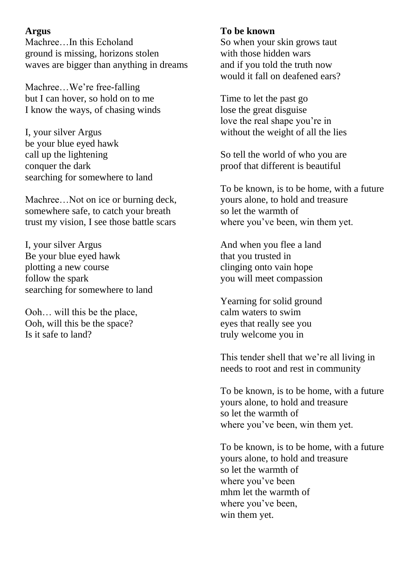# **Argus**

Machree…In this Echoland ground is missing, horizons stolen waves are bigger than anything in dreams

Machree…We're free-falling but I can hover, so hold on to me I know the ways, of chasing winds

I, your silver Argus be your blue eyed hawk call up the lightening conquer the dark searching for somewhere to land

Machree...Not on ice or burning deck, somewhere safe, to catch your breath trust my vision, I see those battle scars

I, your silver Argus Be your blue eyed hawk plotting a new course follow the spark searching for somewhere to land

Ooh… will this be the place, Ooh, will this be the space? Is it safe to land?

# **To be known**

So when your skin grows taut with those hidden wars and if you told the truth now would it fall on deafened ears?

Time to let the past go lose the great disguise love the real shape you're in without the weight of all the lies

So tell the world of who you are proof that different is beautiful

To be known, is to be home, with a future yours alone, to hold and treasure so let the warmth of where you've been, win them yet.

And when you flee a land that you trusted in clinging onto vain hope you will meet compassion

Yearning for solid ground calm waters to swim eyes that really see you truly welcome you in

This tender shell that we're all living in needs to root and rest in community

To be known, is to be home, with a future yours alone, to hold and treasure so let the warmth of where you've been, win them yet.

To be known, is to be home, with a future yours alone, to hold and treasure so let the warmth of where you've been mhm let the warmth of where you've been, win them yet.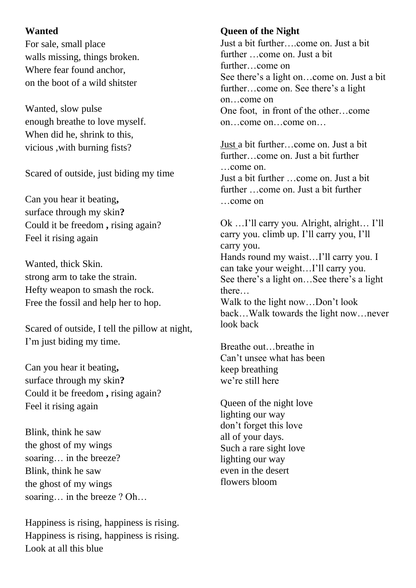# **Wanted**

For sale, small place walls missing, things broken. Where fear found anchor, on the boot of a wild shitster

Wanted, slow pulse enough breathe to love myself. When did he, shrink to this, vicious ,with burning fists?

Scared of outside, just biding my time

Can you hear it beating**,**  surface through my skin**?**  Could it be freedom **,** rising again? Feel it rising again

Wanted, thick Skin. strong arm to take the strain. Hefty weapon to smash the rock. Free the fossil and help her to hop.

Scared of outside, I tell the pillow at night, I'm just biding my time.

Can you hear it beating**,**  surface through my skin**?**  Could it be freedom **,** rising again? Feel it rising again

Blink, think he saw the ghost of my wings soaring… in the breeze? Blink, think he saw the ghost of my wings soaring... in the breeze ? Oh...

Happiness is rising, happiness is rising. Happiness is rising, happiness is rising. Look at all this blue

# **Queen of the Night**

Just a bit further….come on. Just a bit further …come on. Just a bit further…come on See there's a light on…come on. Just a bit further…come on. See there's a light on…come on One foot, in front of the other…come on…come on…come on…

Just a bit further…come on. Just a bit further…come on. Just a bit further …come on. Just a bit further …come on. Just a bit further …come on. Just a bit further …come on

Ok …I'll carry you. Alright, alright… I'll carry you. climb up. I'll carry you, I'll carry you. Hands round my waist…I'll carry you. I can take your weight…I'll carry you. See there's a light on…See there's a light there… Walk to the light now…Don't look

back…Walk towards the light now…never look back

Breathe out…breathe in Can't unsee what has been keep breathing we're still here

Queen of the night love lighting our way don't forget this love all of your days. Such a rare sight love lighting our way even in the desert flowers bloom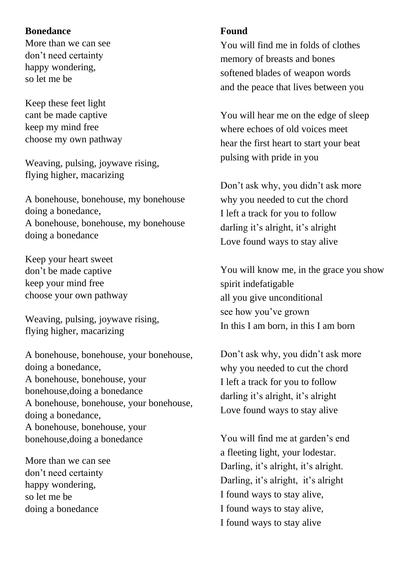#### **Bonedance**

More than we can see don't need certainty happy wondering, so let me be

Keep these feet light cant be made captive keep my mind free choose my own pathway

Weaving, pulsing, joywave rising, flying higher, macarizing

A bonehouse, bonehouse, my bonehouse doing a bonedance, A bonehouse, bonehouse, my bonehouse doing a bonedance

Keep your heart sweet don't be made captive keep your mind free choose your own pathway

Weaving, pulsing, joywave rising, flying higher, macarizing

A bonehouse, bonehouse, your bonehouse, doing a bonedance, A bonehouse, bonehouse, your bonehouse,doing a bonedance A bonehouse, bonehouse, your bonehouse, doing a bonedance, A bonehouse, bonehouse, your bonehouse,doing a bonedance

More than we can see don't need certainty happy wondering, so let me be doing a bonedance

#### **Found**

You will find me in folds of clothes memory of breasts and bones softened blades of weapon words and the peace that lives between you

You will hear me on the edge of sleep where echoes of old voices meet hear the first heart to start your beat pulsing with pride in you

Don't ask why, you didn't ask more why you needed to cut the chord I left a track for you to follow darling it's alright, it's alright Love found ways to stay alive

You will know me, in the grace you show spirit indefatigable all you give unconditional see how you've grown In this I am born, in this I am born

Don't ask why, you didn't ask more why you needed to cut the chord I left a track for you to follow darling it's alright, it's alright Love found ways to stay alive

You will find me at garden's end a fleeting light, your lodestar. Darling, it's alright, it's alright. Darling, it's alright, it's alright I found ways to stay alive, I found ways to stay alive, I found ways to stay alive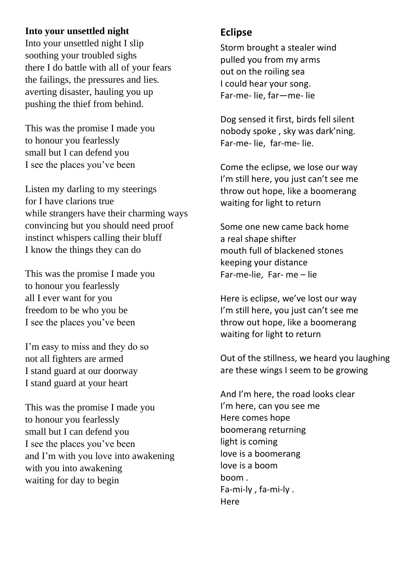### **Into your unsettled night**

Into your unsettled night I slip soothing your troubled sighs there I do battle with all of your fears the failings, the pressures and lies. averting disaster, hauling you up pushing the thief from behind.

This was the promise I made you to honour you fearlessly small but I can defend you I see the places you've been

Listen my darling to my steerings for I have clarions true while strangers have their charming ways convincing but you should need proof instinct whispers calling their bluff I know the things they can do

This was the promise I made you to honour you fearlessly all I ever want for you freedom to be who you be I see the places you've been

I'm easy to miss and they do so not all fighters are armed I stand guard at our doorway I stand guard at your heart

This was the promise I made you to honour you fearlessly small but I can defend you I see the places you've been and I'm with you love into awakening with you into awakening waiting for day to begin

# **Eclipse**

Storm brought a stealer wind pulled you from my arms out on the roiling sea I could hear your song. Far-me- lie, far—me- lie

Dog sensed it first, birds fell silent nobody spoke , sky was dark'ning. Far-me- lie, far-me- lie.

Come the eclipse, we lose our way I'm still here, you just can't see me throw out hope, like a boomerang waiting for light to return

Some one new came back home a real shape shifter mouth full of blackened stones keeping your distance Far-me-lie, Far- me – lie

Here is eclipse, we've lost our way I'm still here, you just can't see me throw out hope, like a boomerang waiting for light to return

Out of the stillness, we heard you laughing are these wings I seem to be growing

And I'm here, the road looks clear I'm here, can you see me Here comes hope boomerang returning light is coming love is a boomerang love is a boom boom . Fa-mi-ly , fa-mi-ly . Here